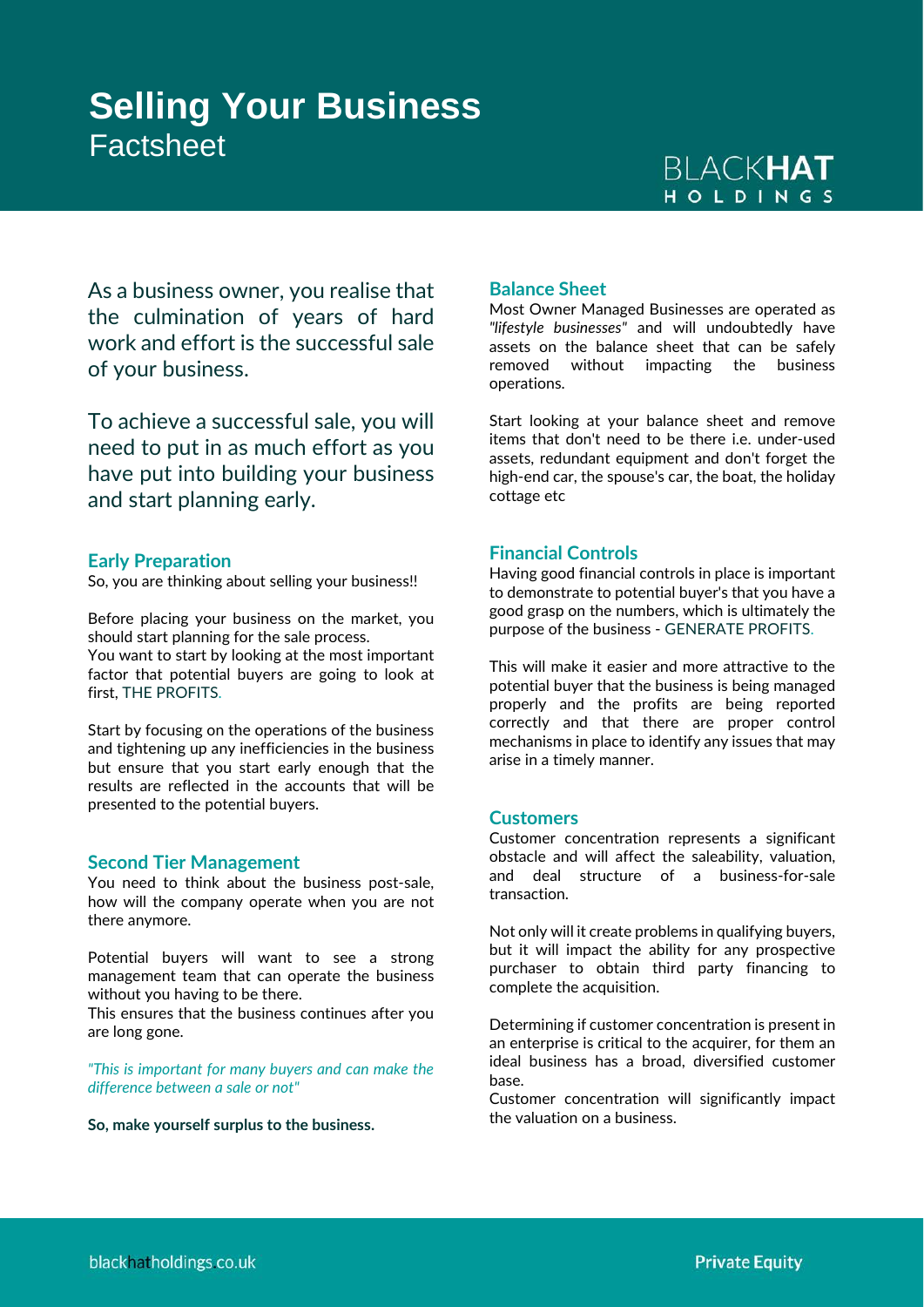# **Selling Your Business** Factsheet

# **BLACKHAT** HOLDINGS

As a business owner, you realise that the culmination of years of hard work and effort is the successful sale of your business.

To achieve a successful sale, you will need to put in as much effort as you have put into building your business and start planning early.

# **Early Preparation**

So, you are thinking about selling your business!!

Before placing your business on the market, you should start planning for the sale process. You want to start by looking at the most important

factor that potential buyers are going to look at first, THE PROFITS.

Start by focusing on the operations of the business and tightening up any inefficiencies in the business but ensure that you start early enough that the results are reflected in the accounts that will be presented to the potential buyers.

## **Second Tier Management**

You need to think about the business post-sale, how will the company operate when you are not there anymore.

Potential buyers will want to see a strong management team that can operate the business without you having to be there.

This ensures that the business continues after you are long gone.

*"This is important for many buyers and can make the difference between a sale or not"*

**So, make yourself surplus to the business.**

# **Balance Sheet**

Most Owner Managed Businesses are operated as *"lifestyle businesses"* and will undoubtedly have assets on the balance sheet that can be safely removed without impacting the business operations.

Start looking at your balance sheet and remove items that don't need to be there i.e. under-used assets, redundant equipment and don't forget the high-end car, the spouse's car, the boat, the holiday cottage etc

## **Financial Controls**

Having good financial controls in place is important to demonstrate to potential buyer's that you have a good grasp on the numbers, which is ultimately the purpose of the business - GENERATE PROFITS.

This will make it easier and more attractive to the potential buyer that the business is being managed properly and the profits are being reported correctly and that there are proper control mechanisms in place to identify any issues that may arise in a timely manner.

#### **Customers**

Customer concentration represents a significant obstacle and will affect the saleability, valuation, and deal structure of a business-for-sale transaction.

Not only will it create problems in qualifying buyers, but it will impact the ability for any prospective purchaser to obtain third party financing to complete the acquisition.

Determining if customer concentration is present in an enterprise is critical to the acquirer, for them an ideal business has a broad, diversified customer base.

Customer concentration will significantly impact the valuation on a business.